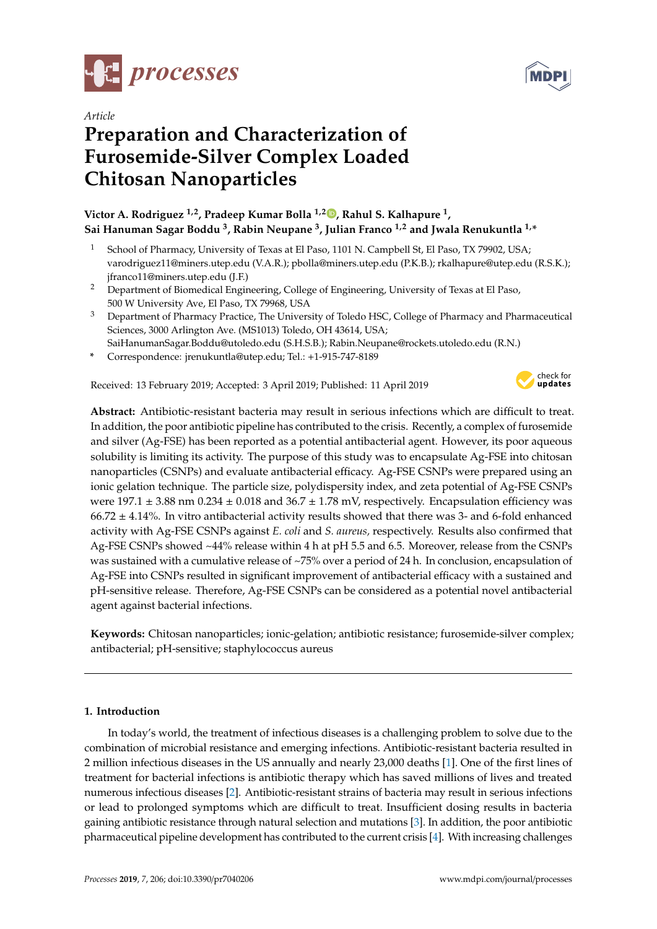



# *Article* **Preparation and Characterization of Furosemide-Silver Complex Loaded Chitosan Nanoparticles**

## **Victor A. Rodriguez 1,2, Pradeep Kumar Bolla 1,2 , Rahul S. Kalhapure <sup>1</sup> , Sai Hanuman Sagar Boddu <sup>3</sup> , Rabin Neupane <sup>3</sup> , Julian Franco 1,2 and Jwala Renukuntla 1,\***

- <sup>1</sup> School of Pharmacy, University of Texas at El Paso, 1101 N. Campbell St, El Paso, TX 79902, USA; varodriguez11@miners.utep.edu (V.A.R.); pbolla@miners.utep.edu (P.K.B.); rkalhapure@utep.edu (R.S.K.); jfranco11@miners.utep.edu (J.F.)
- <sup>2</sup> Department of Biomedical Engineering, College of Engineering, University of Texas at El Paso, 500 W University Ave, El Paso, TX 79968, USA
- <sup>3</sup> Department of Pharmacy Practice, The University of Toledo HSC, College of Pharmacy and Pharmaceutical Sciences, 3000 Arlington Ave. (MS1013) Toledo, OH 43614, USA;
- SaiHanumanSagar.Boddu@utoledo.edu (S.H.S.B.); Rabin.Neupane@rockets.utoledo.edu (R.N.)
- **\*** Correspondence: jrenukuntla@utep.edu; Tel.: +1-915-747-8189

Received: 13 February 2019; Accepted: 3 April 2019; Published: 11 April 2019



**Abstract:** Antibiotic-resistant bacteria may result in serious infections which are difficult to treat. In addition, the poor antibiotic pipeline has contributed to the crisis. Recently, a complex of furosemide and silver (Ag-FSE) has been reported as a potential antibacterial agent. However, its poor aqueous solubility is limiting its activity. The purpose of this study was to encapsulate Ag-FSE into chitosan nanoparticles (CSNPs) and evaluate antibacterial efficacy. Ag-FSE CSNPs were prepared using an ionic gelation technique. The particle size, polydispersity index, and zeta potential of Ag-FSE CSNPs were  $197.1 \pm 3.88$  nm  $0.234 \pm 0.018$  and  $36.7 \pm 1.78$  mV, respectively. Encapsulation efficiency was  $66.72 \pm 4.14$ %. In vitro antibacterial activity results showed that there was 3- and 6-fold enhanced activity with Ag-FSE CSNPs against *E. coli* and *S. aureus,* respectively. Results also confirmed that Ag-FSE CSNPs showed ~44% release within 4 h at pH 5.5 and 6.5. Moreover, release from the CSNPs was sustained with a cumulative release of ~75% over a period of 24 h. In conclusion, encapsulation of Ag-FSE into CSNPs resulted in significant improvement of antibacterial efficacy with a sustained and pH-sensitive release. Therefore, Ag-FSE CSNPs can be considered as a potential novel antibacterial agent against bacterial infections.

**Keywords:** Chitosan nanoparticles; ionic-gelation; antibiotic resistance; furosemide-silver complex; antibacterial; pH-sensitive; staphylococcus aureus

## **1. Introduction**

In today's world, the treatment of infectious diseases is a challenging problem to solve due to the combination of microbial resistance and emerging infections. Antibiotic-resistant bacteria resulted in 2 million infectious diseases in the US annually and nearly 23,000 deaths [1]. One of the first lines of treatment for bacterial infections is antibiotic therapy which has saved millions of lives and treated numerous infectious diseases [2]. Antibiotic-resistant strains of bacteria may result in serious infections or lead to prolonged symptoms which are difficult to treat. Insufficient dosing results in bacteria gaining antibiotic resistance through natural selection and mutations [3]. In addition, the poor antibiotic pharmaceutical pipeline development has contributed to the current crisis [4]. With increasing challenges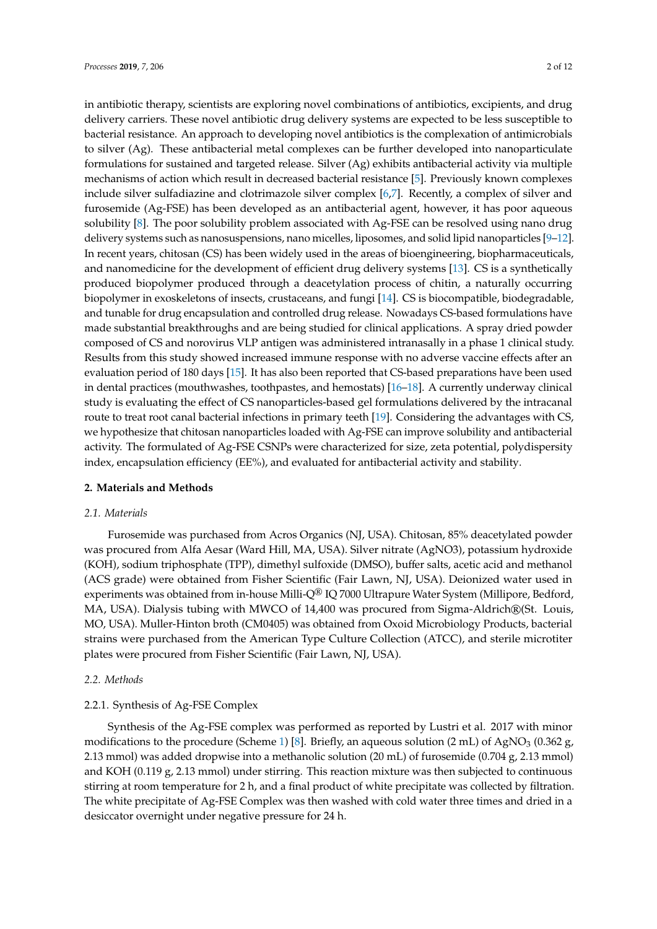in antibiotic therapy, scientists are exploring novel combinations of antibiotics, excipients, and drug delivery carriers. These novel antibiotic drug delivery systems are expected to be less susceptible to bacterial resistance. An approach to developing novel antibiotics is the complexation of antimicrobials to silver (Ag). These antibacterial metal complexes can be further developed into nanoparticulate formulations for sustained and targeted release. Silver (Ag) exhibits antibacterial activity via multiple mechanisms of action which result in decreased bacterial resistance [5]. Previously known complexes include silver sulfadiazine and clotrimazole silver complex [6,7]. Recently, a complex of silver and furosemide (Ag-FSE) has been developed as an antibacterial agent, however, it has poor aqueous solubility [8]. The poor solubility problem associated with Ag-FSE can be resolved using nano drug delivery systems such as nanosuspensions, nano micelles, liposomes, and solid lipid nanoparticles [9–12]. In recent years, chitosan (CS) has been widely used in the areas of bioengineering, biopharmaceuticals, and nanomedicine for the development of efficient drug delivery systems [13]. CS is a synthetically produced biopolymer produced through a deacetylation process of chitin, a naturally occurring biopolymer in exoskeletons of insects, crustaceans, and fungi [14]. CS is biocompatible, biodegradable, and tunable for drug encapsulation and controlled drug release. Nowadays CS-based formulations have made substantial breakthroughs and are being studied for clinical applications. A spray dried powder composed of CS and norovirus VLP antigen was administered intranasally in a phase 1 clinical study. Results from this study showed increased immune response with no adverse vaccine effects after an evaluation period of 180 days [15]. It has also been reported that CS-based preparations have been used in dental practices (mouthwashes, toothpastes, and hemostats) [16–18]. A currently underway clinical study is evaluating the effect of CS nanoparticles-based gel formulations delivered by the intracanal route to treat root canal bacterial infections in primary teeth [19]. Considering the advantages with CS, we hypothesize that chitosan nanoparticles loaded with Ag-FSE can improve solubility and antibacterial activity. The formulated of Ag-FSE CSNPs were characterized for size, zeta potential, polydispersity index, encapsulation efficiency (EE%), and evaluated for antibacterial activity and stability.

#### **2. Materials and Methods**

#### *2.1. Materials*

Furosemide was purchased from Acros Organics (NJ, USA). Chitosan, 85% deacetylated powder was procured from Alfa Aesar (Ward Hill, MA, USA). Silver nitrate (AgNO3), potassium hydroxide (KOH), sodium triphosphate (TPP), dimethyl sulfoxide (DMSO), buffer salts, acetic acid and methanol (ACS grade) were obtained from Fisher Scientific (Fair Lawn, NJ, USA). Deionized water used in experiments was obtained from in-house Milli-Q<sup>®</sup> IQ 7000 Ultrapure Water System (Millipore, Bedford, MA, USA). Dialysis tubing with MWCO of 14,400 was procured from Sigma-Aldrich®(St. Louis, MO, USA). Muller-Hinton broth (CM0405) was obtained from Oxoid Microbiology Products, bacterial strains were purchased from the American Type Culture Collection (ATCC), and sterile microtiter plates were procured from Fisher Scientific (Fair Lawn, NJ, USA).

## *2.2. Methods*

## 2.2.1. Synthesis of Ag-FSE Complex

Synthesis of the Ag-FSE complex was performed as reported by Lustri et al. 2017 with minor modifications to the procedure (Scheme 1) [8]. Briefly, an aqueous solution (2 mL) of AgNO<sub>3</sub> (0.362 g, 2.13 mmol) was added dropwise into a methanolic solution (20 mL) of furosemide (0.704 g, 2.13 mmol) and KOH (0.119 g, 2.13 mmol) under stirring. This reaction mixture was then subjected to continuous stirring at room temperature for 2 h, and a final product of white precipitate was collected by filtration. The white precipitate of Ag-FSE Complex was then washed with cold water three times and dried in a desiccator overnight under negative pressure for 24 h.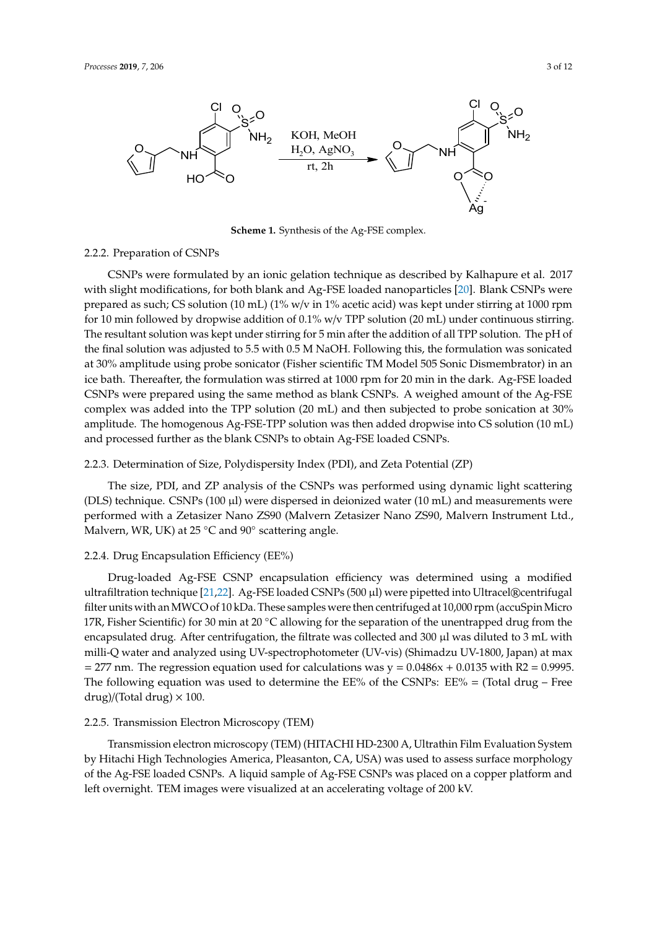

**Scheme 1.** Synthesis of the Ag-FSE complex.

## 2.2.2. Preparation of CSNPs

CSNPs were formulated by an ionic gelation technique as described by Kalhapure et al. 2017 with slight modifications, for both blank and Ag-FSE loaded nanoparticles [20]. Blank CSNPs were prepared as such; CS solution (10 mL) (1% w/v in 1% acetic acid) was kept under stirring at 1000 rpm for 10 min followed by dropwise addition of 0.1% w/v TPP solution (20 mL) under continuous stirring. The resultant solution was kept under stirring for 5 min after the addition of all TPP solution. The pH of the final solution was adjusted to 5.5 with 0.5 M NaOH. Following this, the formulation was sonicated at 30% amplitude using probe sonicator (Fisher scientific TM Model 505 Sonic Dismembrator) in an ice bath. Thereafter, the formulation was stirred at 1000 rpm for 20 min in the dark. Ag-FSE loaded CSNPs were prepared using the same method as blank CSNPs. A weighed amount of the Ag-FSE complex was added into the TPP solution (20 mL) and then subjected to probe sonication at 30% amplitude. The homogenous Ag-FSE-TPP solution was then added dropwise into CS solution (10 mL) and processed further as the blank CSNPs to obtain Ag-FSE loaded CSNPs.

#### 2.2.3. Determination of Size, Polydispersity Index (PDI), and Zeta Potential (ZP)

The size, PDI, and ZP analysis of the CSNPs was performed using dynamic light scattering (DLS) technique. CSNPs (100 µl) were dispersed in deionized water (10 mL) and measurements were performed with a Zetasizer Nano ZS90 (Malvern Zetasizer Nano ZS90, Malvern Instrument Ltd., .<br>Malvern, WR, UK) at 25 °C and 90° scattering angle.

#### 2.2.4. Drug Encapsulation Efficiency (EE%)

Drug-loaded Ag-FSE CSNP encapsulation efficiency was determined using a modified ultrafiltration technique [21,22]. Ag-FSE loaded CSNPs (500 µl) were pipetted into Ultracel®centrifugal filter units with anMWCO of 10 kDa. These samples were then centrifuged at 10,000 rpm (accuSpinMicro 17R, Fisher Scientific) for 30 min at 20 °C allowing for the separation of the unentrapped drug from the encapsulated drug. After centrifugation, the filtrate was collected and 300  $\mu$ l was diluted to 3 mL with milli-Q water and analyzed using UV-spectrophotometer (UV-vis) (Shimadzu UV-1800, Japan) at max  $= 277$  nm. The regression equation used for calculations was  $y = 0.0486x + 0.0135$  with R2 = 0.9995. The following equation was used to determine the  $EE%$  of the CSNPs:  $EE% = (Total drug - Free)$ drug)/(Total drug)  $\times$  100.

#### 2.2.5. Transmission Electron Microscopy (TEM)

Transmission electron microscopy (TEM) (HITACHI HD-2300 A, Ultrathin Film Evaluation System by Hitachi High Technologies America, Pleasanton, CA, USA) was used to assess surface morphology of the Ag-FSE loaded CSNPs. A liquid sample of Ag-FSE CSNPs was placed on a copper platform and left overnight. TEM images were visualized at an accelerating voltage of 200 kV.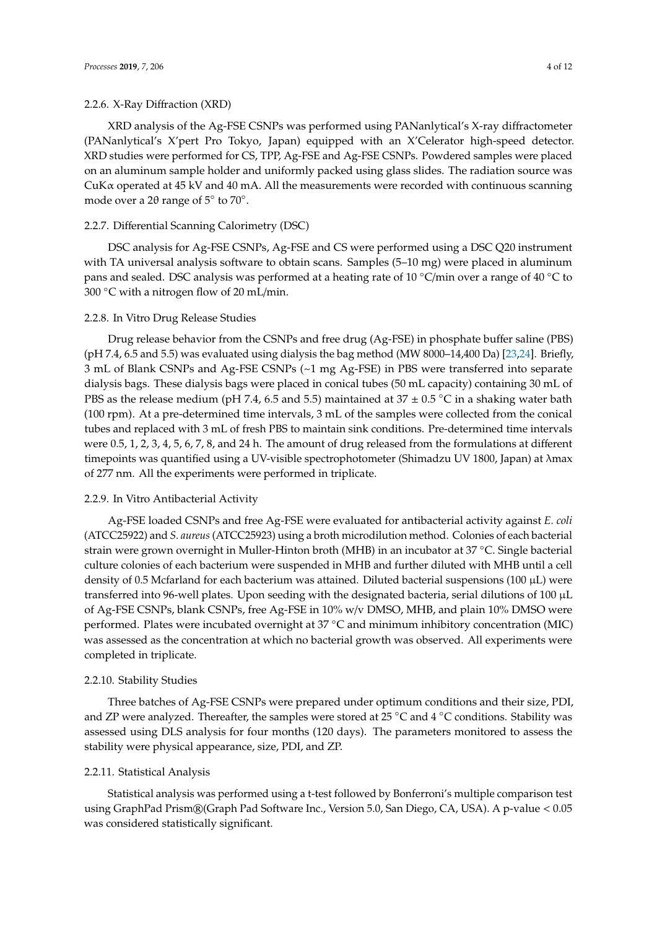XRD analysis of the Ag-FSE CSNPs was performed using PANanlytical's X-ray diffractometer (PANanlytical's X'pert Pro Tokyo, Japan) equipped with an X'Celerator high-speed detector. XRD studies were performed for CS, TPP, Ag-FSE and Ag-FSE CSNPs. Powdered samples were placed on an aluminum sample holder and uniformly packed using glass slides. The radiation source was  $CuK\alpha$  operated at 45 kV and 40 mA. All the measurements were recorded with continuous scanning mode over a 2θ range of  $5^\circ$  to  $70^\circ$ .

## 2.2.7. Differential Scanning Calorimetry (DSC)

DSC analysis for Ag-FSE CSNPs, Ag-FSE and CS were performed using a DSC Q20 instrument with TA universal analysis software to obtain scans. Samples (5–10 mg) were placed in aluminum pans and sealed. DSC analysis was performed at a heating rate of 10 ◦C/min over a range of 40 ◦C to 300  $\degree$ C with a nitrogen flow of 20 mL/min.

## 2.2.8. In Vitro Drug Release Studies

Drug release behavior from the CSNPs and free drug (Ag-FSE) in phosphate buffer saline (PBS) (pH 7.4, 6.5 and 5.5) was evaluated using dialysis the bag method (MW 8000–14,400 Da) [23,24]. Briefly, 3 mL of Blank CSNPs and Ag-FSE CSNPs (~1 mg Ag-FSE) in PBS were transferred into separate dialysis bags. These dialysis bags were placed in conical tubes (50 mL capacity) containing 30 mL of PBS as the release medium (pH 7.4, 6.5 and 5.5) maintained at 37  $\pm$  0.5 °C in a shaking water bath (100 rpm). At a pre-determined time intervals, 3 mL of the samples were collected from the conical tubes and replaced with 3 mL of fresh PBS to maintain sink conditions. Pre-determined time intervals were 0.5, 1, 2, 3, 4, 5, 6, 7, 8, and 24 h. The amount of drug released from the formulations at different timepoints was quantified using a UV-visible spectrophotometer (Shimadzu UV 1800, Japan) at λmax of 277 nm. All the experiments were performed in triplicate.

## 2.2.9. In Vitro Antibacterial Activity

Ag-FSE loaded CSNPs and free Ag-FSE were evaluated for antibacterial activity against *E. coli* (ATCC25922) and *S. aureus* (ATCC25923) using a broth microdilution method. Colonies of each bacterial strain were grown overnight in Muller-Hinton broth (MHB) in an incubator at 37 ◦C. Single bacterial culture colonies of each bacterium were suspended in MHB and further diluted with MHB until a cell density of 0.5 Mcfarland for each bacterium was attained. Diluted bacterial suspensions (100  $\mu$ L) were transferred into 96-well plates. Upon seeding with the designated bacteria, serial dilutions of 100 µL of Ag-FSE CSNPs, blank CSNPs, free Ag-FSE in 10% w/v DMSO, MHB, and plain 10% DMSO were performed. Plates were incubated overnight at 37 ◦C and minimum inhibitory concentration (MIC) was assessed as the concentration at which no bacterial growth was observed. All experiments were completed in triplicate.

## 2.2.10. Stability Studies

Three batches of Ag-FSE CSNPs were prepared under optimum conditions and their size, PDI, and ZP were analyzed. Thereafter, the samples were stored at 25 °C and 4 °C conditions. Stability was assessed using DLS analysis for four months (120 days). The parameters monitored to assess the stability were physical appearance, size, PDI, and ZP.

#### 2.2.11. Statistical Analysis

Statistical analysis was performed using a t-test followed by Bonferroni's multiple comparison test using GraphPad Prism®(Graph Pad Software Inc., Version 5.0, San Diego, CA, USA). A p-value < 0.05 was considered statistically significant.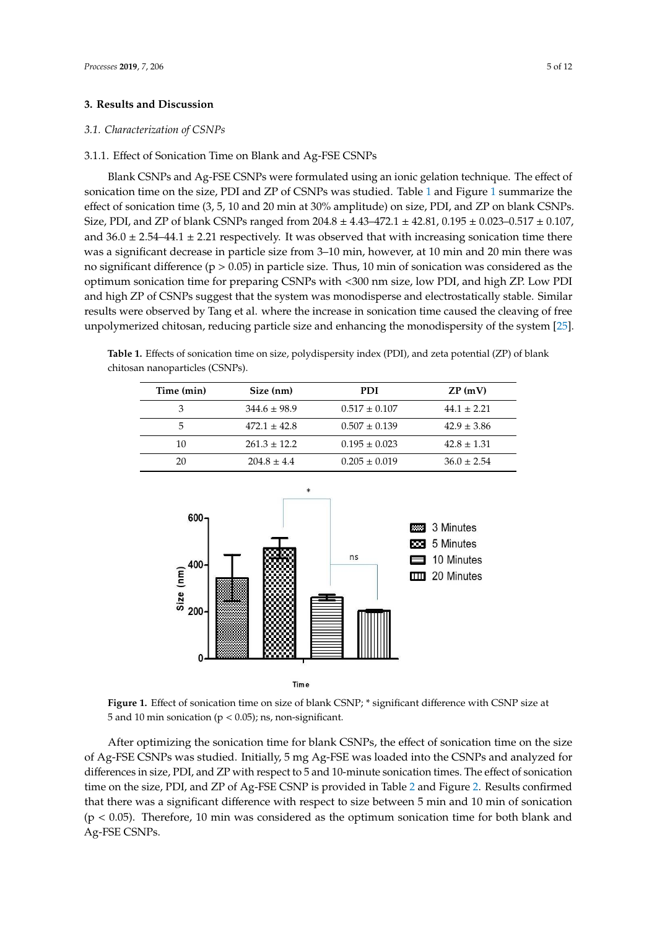## **3. Results and Discussion**

#### *3.1. Characterization of CSNPs*

#### 3.1.1. Effect of Sonication Time on Blank and Ag-FSE CSNPs

Blank CSNPs and Ag-FSE CSNPs were formulated using an ionic gelation technique. The effect of sonication time on the size, PDI and ZP of CSNPs was studied. Table 1 and Figure 1 summarize the effect of sonication time (3, 5, 10 and 20 min at 30% amplitude) on size, PDI, and ZP on blank CSNPs. Size, PDI, and ZP of blank CSNPs ranged from  $204.8 \pm 4.43 - 472.1 \pm 42.81, 0.195 \pm 0.023 - 0.517 \pm 0.107$ , and  $36.0 \pm 2.54-44.1 \pm 2.21$  respectively. It was observed that with increasing sonication time there was a significant decrease in particle size from 3–10 min, however, at 10 min and 20 min there was no significant difference (p > 0.05) in particle size. Thus, 10 min of sonication was considered as the optimum sonication time for preparing CSNPs with <300 nm size, low PDI, and high ZP. Low PDI and high ZP of CSNPs suggest that the system was monodisperse and electrostatically stable. Similar results were observed by Tang et al. where the increase in sonication time caused the cleaving of free unpolymerized chitosan, reducing particle size and enhancing the monodispersity of the system [25].

**Table 1.** Effects of sonication time on size, polydispersity index (PDI), and zeta potential (ZP) of blank chitosan nanoparticles (CSNPs).

| Time (min) | Size (nm)        | PDI               | ZP(mV)          |
|------------|------------------|-------------------|-----------------|
| 3          | $344.6 \pm 98.9$ | $0.517 \pm 0.107$ | $44.1 + 2.21$   |
| 5          | $472.1 \pm 42.8$ | $0.507 \pm 0.139$ | $42.9 \pm 3.86$ |
| 10         | $261.3 \pm 12.2$ | $0.195 \pm 0.023$ | $42.8 \pm 1.31$ |
| 20         | $204.8 + 4.4$    | $0.205 \pm 0.019$ | $36.0 \pm 2.54$ |



**Figure 1.** Effect of sonication time on size of blank CSNP; \* significant difference with CSNP size at 5 and 10 min sonication (p < 0.05); ns, non-significant.

After optimizing the sonication time for blank CSNPs, the effect of sonication time on the size of Ag-FSE CSNPs was studied. Initially, 5 mg Ag-FSE was loaded into the CSNPs and analyzed for differences in size, PDI, and ZP with respect to 5 and 10-minute sonication times. The effect of sonication time on the size, PDI, and ZP of Ag-FSE CSNP is provided in Table 2 and Figure 2. Results confirmed that there was a significant difference with respect to size between 5 min and 10 min of sonication  $(p < 0.05)$ . Therefore, 10 min was considered as the optimum sonication time for both blank and Ag-FSE CSNPs.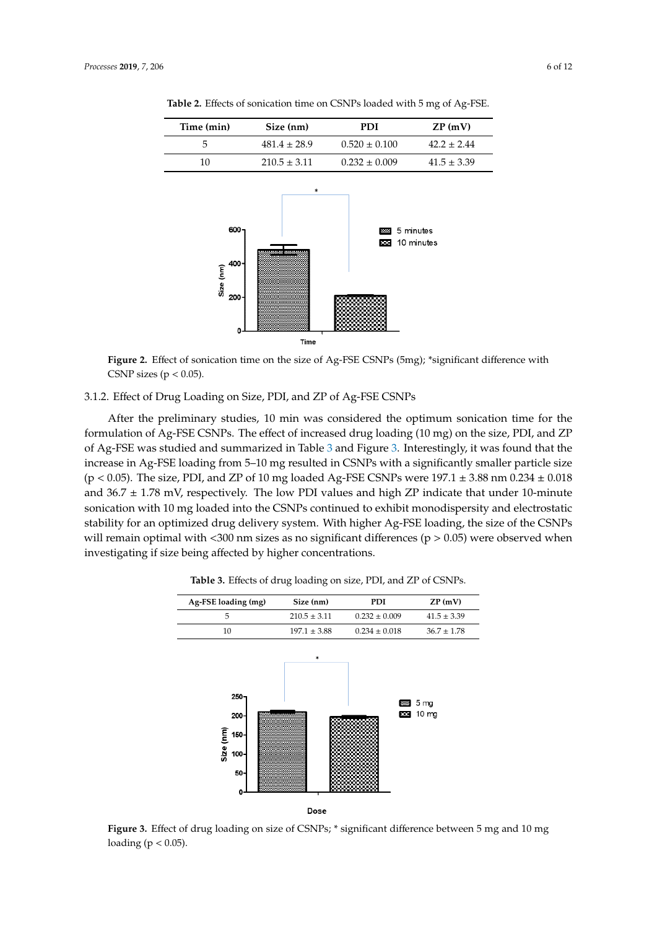| Time (min)                          | Size (nm)        | <b>PDI</b>        | ZP(mV)                  |
|-------------------------------------|------------------|-------------------|-------------------------|
| 5                                   | $481.4 \pm 28.9$ | $0.520 \pm 0.100$ | $42.2 \pm 2.44$         |
| 10                                  | $210.5 \pm 3.11$ | $0.232 \pm 0.009$ | $41.5 \pm 3.39$         |
| 600-<br>400<br>Size (nm)<br>$200 -$ | *                | 30005<br>$\sim$   | 5 minutes<br>10 minutes |

**Table 2.** Effects of sonication time on CSNPs loaded with 5 mg of Ag-FSE.

**Figure 2.** Effect of sonication time on the size of Ag-FSE CSNPs (5mg); \*significant difference with CSNP sizes ( $p < 0.05$ ).

Time

## 3.1.2. Effect of Drug Loading on Size, PDI, and ZP of Ag-FSE CSNPs

After the preliminary studies, 10 min was considered the optimum sonication time for the formulation of Ag-FSE CSNPs. The effect of increased drug loading (10 mg) on the size, PDI, and ZP of Ag-FSE was studied and summarized in Table 3 and Figure 3. Interestingly, it was found that the increase in Ag-FSE loading from 5–10 mg resulted in CSNPs with a significantly smaller particle size (p < 0.05). The size, PDI, and ZP of 10 mg loaded Ag-FSE CSNPs were  $197.1 \pm 3.88$  nm  $0.234 \pm 0.018$ and  $36.7 \pm 1.78$  mV, respectively. The low PDI values and high ZP indicate that under 10-minute sonication with 10 mg loaded into the CSNPs continued to exhibit monodispersity and electrostatic stability for an optimized drug delivery system. With higher Ag-FSE loading, the size of the CSNPs will remain optimal with  $\leq 300$  nm sizes as no significant differences ( $p > 0.05$ ) were observed when investigating if size being affected by higher concentrations.



**Table 3.** Effects of drug loading on size, PDI, and ZP of CSNPs.

**Figure 3.** Effect of drug loading on size of CSNPs; \* significant difference between 5 mg and 10 mg loading ( $p < 0.05$ ).

zer a strong and the strong and the strong and the strong and the strong and the strong and the strong and the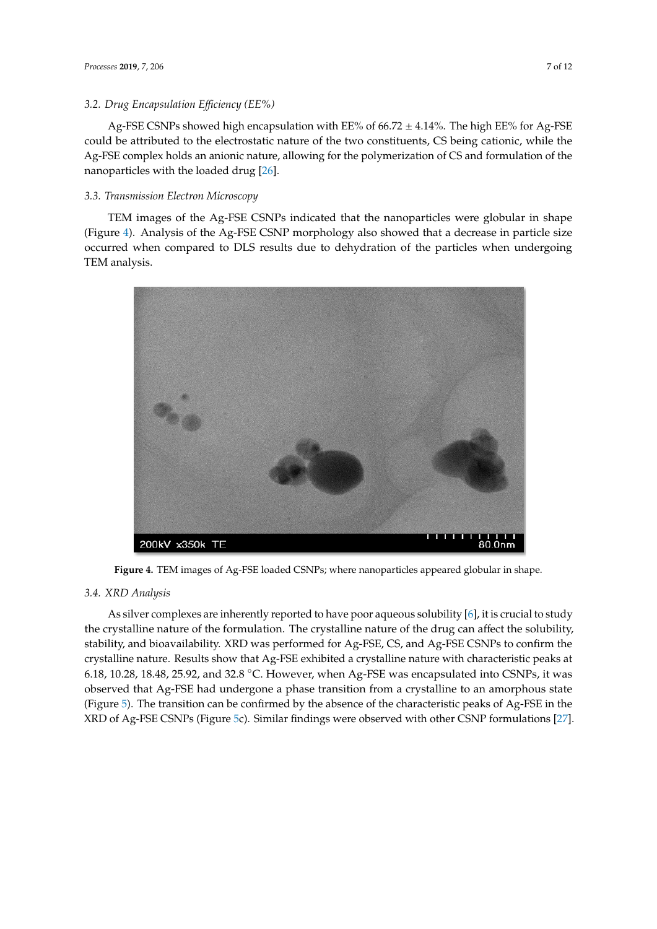Ag-FSE CSNPs showed high encapsulation with EE% of  $66.72 \pm 4.14$ %. The high EE% for Ag-FSE could be attributed to the electrostatic nature of the two constituents, CS being cationic, while the Ag-FSE complex holds an anionic nature, allowing for the polymerization of CS and formulation of the nanoparticles with the loaded drug [26].

## *3.3. Transmission Electron Microscopy*

TEM images of the Ag-FSE CSNPs indicated that the nanoparticles were globular in shape (Figure 4). Analysis of the Ag-FSE CSNP morphology also showed that a decrease in particle size occurred when compared to DLS results due to dehydration of the particles when undergoing TEM analysis.



**Figure 4.** TEM images of Ag-FSE loaded CSNPs; where nanoparticles appeared globular in shape.

## *3.4. XRD Analysis*

As silver complexes are inherently reported to have poor aqueous solubility [6], it is crucial to study the crystalline nature of the formulation. The crystalline nature of the drug can affect the solubility, stability, and bioavailability. XRD was performed for Ag-FSE, CS, and Ag-FSE CSNPs to confirm the crystalline nature. Results show that Ag-FSE exhibited a crystalline nature with characteristic peaks at 6.18, 10.28, 18.48, 25.92, and 32.8 °C. However, when Ag-FSE was encapsulated into CSNPs, it was observed that Ag-FSE had undergone a phase transition from a crystalline to an amorphous state (Figure 5). The transition can be confirmed by the absence of the characteristic peaks of Ag-FSE in the XRD of Ag-FSE CSNPs (Figure 5c). Similar findings were observed with other CSNP formulations [27].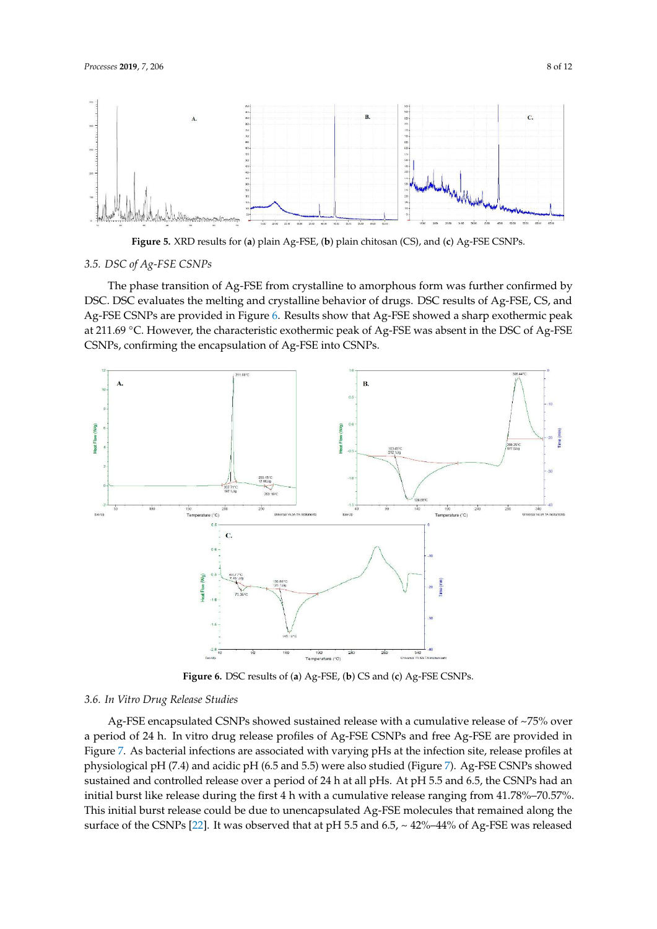

**Figure 5.** XRD results for (**a**) plain Ag-FSE, (**b**) plain chitosan (CS), and (**c**) Ag-FSE CSNPs.

## *3.5. DSC of Ag-FSE CSNPs*

The phase transition of Ag-FSE from crystalline to amorphous form was further confirmed by DSC. DSC evaluates the melting and crystalline behavior of drugs. DSC results of Ag-FSE, CS, and Ag-FSE CSNPs are provided in Figure 6. Results show that Ag-FSE showed a sharp exothermic peak at 211.69 °C. However, the characteristic exothermic peak of Ag-FSE was absent in the DSC of Ag-FSE CSNPs, confirming the encapsulation of Ag-FSE into CSNPs.



**Figure 6.** DSC results of (**a**) Ag-FSE, (**b**) CS and (**c**) Ag-FSE CSNPs.

#### *3.6. In Vitro Drug Release Studies*

Ag-FSE encapsulated CSNPs showed sustained release with a cumulative release of  $\sim$ 75% over a period of 24 h. In vitro drug release profiles of Ag-FSE CSNPs and free Ag-FSE are provided in Figure 7. As bacterial infections are associated with varying pHs at the infection site, release profiles at physiological pH (7.4) and acidic pH (6.5 and 5.5) were also studied (Figure 7). Ag-FSE CSNPs showed sustained and controlled release over a period of 24 h at all pHs. At pH 5.5 and 6.5, the CSNPs had an initial burst like release during the first 4 h with a cumulative release ranging from 41.78%–70.57%. This initial burst release could be due to unencapsulated Ag-FSE molecules that remained along the surface of the CSNPs [22]. It was observed that at pH 5.5 and 6.5, ~ 42%–44% of Ag-FSE was released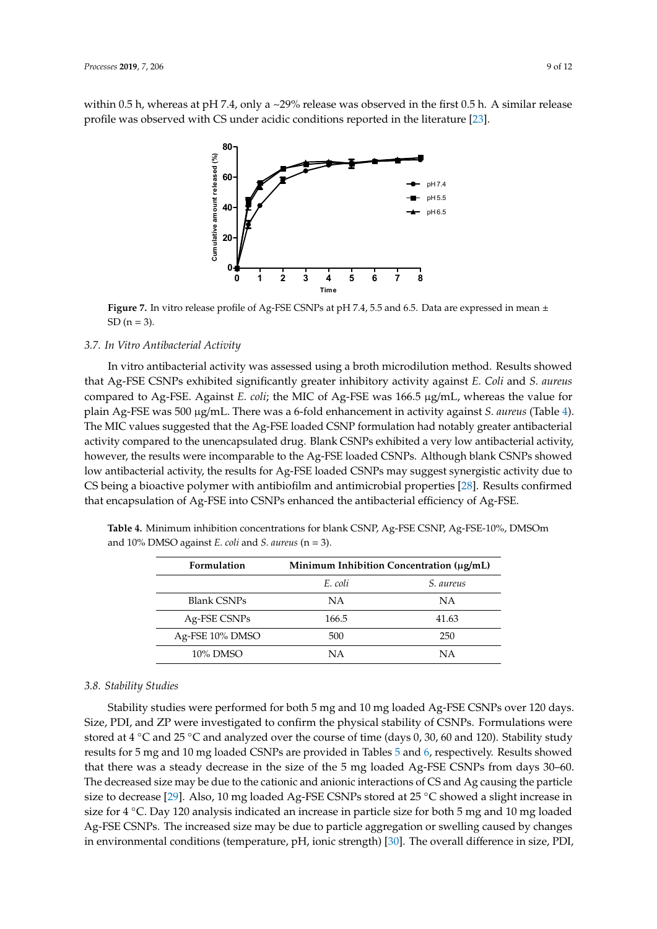within 0.5 h, whereas at pH 7.4, only a ~29% release was observed in the first 0.5 h. A similar release profile was observed with CS under acidic conditions reported in the literature [23].



**Figure 7.** In vitro release profile of Ag-FSE CSNPs at pH 7.4, 5.5 and 6.5. Data are expressed in mean ± SD  $(n = 3)$ .

## *3.7. In Vitro Antibacterial Activity*

In vitro antibacterial activity was assessed using a broth microdilution method. Results showed that Ag-FSE CSNPs exhibited significantly greater inhibitory activity against *E. Coli* and *S. aureus* compared to Ag-FSE. Against *E. coli*; the MIC of Ag-FSE was 166.5 µg/mL, whereas the value for plain Ag-FSE was 500 µg/mL. There was a 6-fold enhancement in activity against *S. aureus* (Table 4). The MIC values suggested that the Ag-FSE loaded CSNP formulation had notably greater antibacterial activity compared to the unencapsulated drug. Blank CSNPs exhibited a very low antibacterial activity, however, the results were incomparable to the Ag-FSE loaded CSNPs. Although blank CSNPs showed low antibacterial activity, the results for Ag-FSE loaded CSNPs may suggest synergistic activity due to CS being a bioactive polymer with antibiofilm and antimicrobial properties [28]. Results confirmed that encapsulation of Ag-FSE into CSNPs enhanced the antibacterial efficiency of Ag-FSE.

| Formulation        | Minimum Inhibition Concentration (µg/mL) |                  |  |
|--------------------|------------------------------------------|------------------|--|
|                    | E. coli                                  | <i>S.</i> aureus |  |
| <b>Blank CSNPs</b> | NA                                       | NA               |  |
| Ag-FSE CSNPs       | 166.5                                    | 41.63            |  |
| Ag-FSE 10% DMSO    | 500                                      | 250              |  |
| $10\%$ DMSO        | ΝA                                       | ΝA               |  |

**Table 4.** Minimum inhibition concentrations for blank CSNP, Ag-FSE CSNP, Ag-FSE-10%, DMSOm and 10% DMSO against *E. coli* and *S. aureus* (n = 3).

#### *3.8. Stability Studies*

Stability studies were performed for both 5 mg and 10 mg loaded Ag-FSE CSNPs over 120 days. Size, PDI, and ZP were investigated to confirm the physical stability of CSNPs. Formulations were stored at 4 ◦C and 25 ◦C and analyzed over the course of time (days 0, 30, 60 and 120). Stability study results for 5 mg and 10 mg loaded CSNPs are provided in Tables 5 and 6, respectively. Results showed that there was a steady decrease in the size of the 5 mg loaded Ag-FSE CSNPs from days 30–60. The decreased size may be due to the cationic and anionic interactions of CS and Ag causing the particle size to decrease [29]. Also, 10 mg loaded Ag-FSE CSNPs stored at 25 ◦C showed a slight increase in size for 4 °C. Day 120 analysis indicated an increase in particle size for both 5 mg and 10 mg loaded Ag-FSE CSNPs. The increased size may be due to particle aggregation or swelling caused by changes in environmental conditions (temperature, pH, ionic strength) [30]. The overall difference in size, PDI,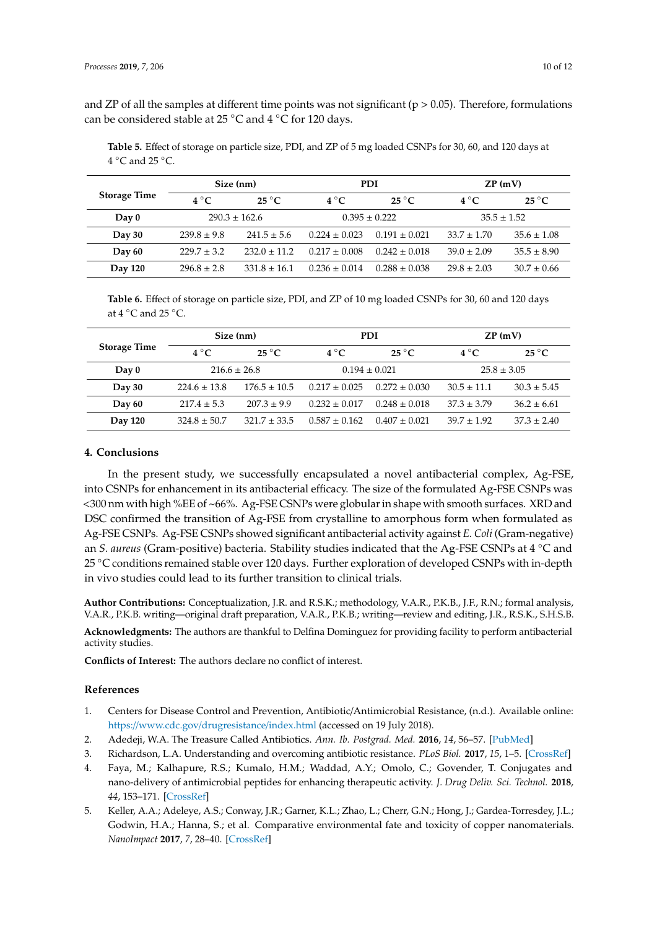and ZP of all the samples at different time points was not significant ( $p > 0.05$ ). Therefore, formulations can be considered stable at 25 °C and 4 °C for 120 days.

**Table 5.** Effect of storage on particle size, PDI, and ZP of 5 mg loaded CSNPs for 30, 60, and 120 days at  $4 °C$  and  $25 °C$ .

| <b>Storage Time</b> |                   | Size (nm)                |                   | <b>PDI</b>               |                 | ZP(mV)                   |
|---------------------|-------------------|--------------------------|-------------------|--------------------------|-----------------|--------------------------|
|                     | $4^{\circ}C$      | $25\,^{\circ}\mathrm{C}$ | $4^{\circ}C$      | $25\,^{\circ}\mathrm{C}$ | $4^{\circ}C$    | $25\,^{\circ}\mathrm{C}$ |
| Day 0               | $290.3 \pm 162.6$ |                          | $0.395 \pm 0.222$ |                          | $35.5 \pm 1.52$ |                          |
| Day 30              | $239.8 \pm 9.8$   | $241.5 \pm 5.6$          | $0.224 \pm 0.023$ | $0.191 \pm 0.021$        | $33.7 \pm 1.70$ | $35.6 \pm 1.08$          |
| Day 60              | $229.7 \pm 3.2$   | $232.0 \pm 11.2$         | $0.217 \pm 0.008$ | $0.242 \pm 0.018$        | $39.0 \pm 2.09$ | $35.5 \pm 8.90$          |
| <b>Day 120</b>      | $296.8 \pm 2.8$   | $331.8 \pm 16.1$         | $0.236 \pm 0.014$ | $0.288 \pm 0.038$        | $29.8 \pm 2.03$ | $30.7 \pm 0.66$          |

**Table 6.** Effect of storage on particle size, PDI, and ZP of 10 mg loaded CSNPs for 30, 60 and 120 days at  $4 °C$  and  $25 °C$ .

|                     |                  | Size (nm)                |                   | PDI                      |                 | ZP(mV)                   |
|---------------------|------------------|--------------------------|-------------------|--------------------------|-----------------|--------------------------|
| <b>Storage Time</b> | $4^{\circ}C$     | $25\,^{\circ}\mathrm{C}$ | $4^{\circ}C$      | $25\,^{\circ}\mathrm{C}$ | $4^{\circ}C$    | $25\,^{\circ}\mathrm{C}$ |
| $\bf Dav 0$         | $216.6 \pm 26.8$ |                          | $0.194 \pm 0.021$ |                          | $25.8 \pm 3.05$ |                          |
| Day 30              | $224.6 \pm 13.8$ | $176.5 \pm 10.5$         | $0.217 \pm 0.025$ | $0.272 \pm 0.030$        | $30.5 \pm 11.1$ | $30.3 \pm 5.45$          |
| Day 60              | $217.4 \pm 5.3$  | $207.3 \pm 9.9$          | $0.232 \pm 0.017$ | $0.248 \pm 0.018$        | $37.3 \pm 3.79$ | $36.2 \pm 6.61$          |
| Day 120             | $324.8 \pm 50.7$ | $321.7 \pm 33.5$         | $0.587 \pm 0.162$ | $0.407 \pm 0.021$        | $39.7 \pm 1.92$ | $37.3 \pm 2.40$          |

## **4. Conclusions**

In the present study, we successfully encapsulated a novel antibacterial complex, Ag-FSE, into CSNPs for enhancement in its antibacterial efficacy. The size of the formulated Ag-FSE CSNPs was <300 nm with high %EE of ~66%. Ag-FSE CSNPs were globular in shape with smooth surfaces. XRD and DSC confirmed the transition of Ag-FSE from crystalline to amorphous form when formulated as Ag-FSE CSNPs. Ag-FSE CSNPs showed significant antibacterial activity against *E. Coli* (Gram-negative) an *S. aureus* (Gram-positive) bacteria. Stability studies indicated that the Ag-FSE CSNPs at 4 ◦C and 25 ◦C conditions remained stable over 120 days. Further exploration of developed CSNPs with in-depth in vivo studies could lead to its further transition to clinical trials.

**Author Contributions:** Conceptualization, J.R. and R.S.K.; methodology, V.A.R., P.K.B., J.F., R.N.; formal analysis, V.A.R., P.K.B. writing—original draft preparation, V.A.R., P.K.B.; writing—review and editing, J.R., R.S.K., S.H.S.B.

**Acknowledgments:** The authors are thankful to Delfina Dominguez for providing facility to perform antibacterial activity studies.

**Conflicts of Interest:** The authors declare no conflict of interest.

## **References**

- 1. Centers for Disease Control and Prevention, Antibiotic/Antimicrobial Resistance, (n.d.). Available online: https://www.cdc.gov/drugresistance/index.html (accessed on 19 July 2018).
- 2. Adedeji, W.A. The Treasure Called Antibiotics. *Ann. Ib. Postgrad. Med.* **2016**, *14*, 56–57. [PubMed]
- 3. Richardson, L.A. Understanding and overcoming antibiotic resistance. *PLoS Biol.* **2017**, *15*, 1–5. [CrossRef]
- 4. Faya, M.; Kalhapure, R.S.; Kumalo, H.M.; Waddad, A.Y.; Omolo, C.; Govender, T. Conjugates and nano-delivery of antimicrobial peptides for enhancing therapeutic activity. *J. Drug Deliv. Sci. Technol.* **2018**, *44*, 153–171. [CrossRef]
- 5. Keller, A.A.; Adeleye, A.S.; Conway, J.R.; Garner, K.L.; Zhao, L.; Cherr, G.N.; Hong, J.; Gardea-Torresdey, J.L.; Godwin, H.A.; Hanna, S.; et al. Comparative environmental fate and toxicity of copper nanomaterials. *NanoImpact* **2017**, *7*, 28–40. [CrossRef]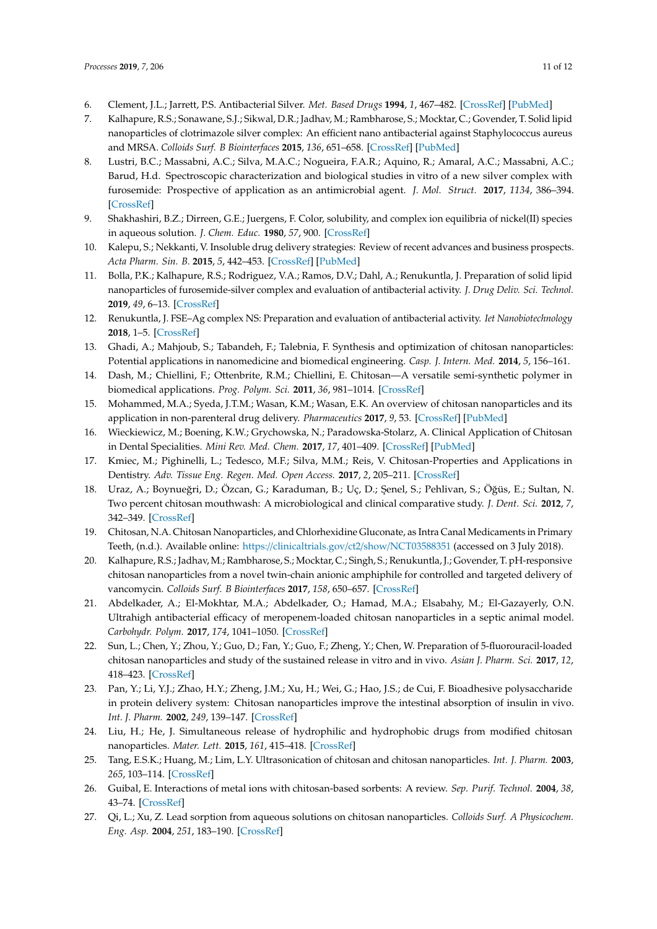- 6. Clement, J.L.; Jarrett, P.S. Antibacterial Silver. *Met. Based Drugs* **1994**, *1*, 467–482. [CrossRef] [PubMed]
- 7. Kalhapure, R.S.; Sonawane, S.J.; Sikwal, D.R.; Jadhav, M.; Rambharose, S.; Mocktar, C.; Govender, T. Solid lipid nanoparticles of clotrimazole silver complex: An efficient nano antibacterial against Staphylococcus aureus and MRSA. *Colloids Surf. B Biointerfaces* **2015**, *136*, 651–658. [CrossRef] [PubMed]
- 8. Lustri, B.C.; Massabni, A.C.; Silva, M.A.C.; Nogueira, F.A.R.; Aquino, R.; Amaral, A.C.; Massabni, A.C.; Barud, H.d. Spectroscopic characterization and biological studies in vitro of a new silver complex with furosemide: Prospective of application as an antimicrobial agent. *J. Mol. Struct.* **2017**, *1134*, 386–394. [CrossRef]
- 9. Shakhashiri, B.Z.; Dirreen, G.E.; Juergens, F. Color, solubility, and complex ion equilibria of nickel(II) species in aqueous solution. *J. Chem. Educ.* **1980**, *57*, 900. [CrossRef]
- 10. Kalepu, S.; Nekkanti, V. Insoluble drug delivery strategies: Review of recent advances and business prospects. *Acta Pharm. Sin. B.* **2015**, *5*, 442–453. [CrossRef] [PubMed]
- 11. Bolla, P.K.; Kalhapure, R.S.; Rodriguez, V.A.; Ramos, D.V.; Dahl, A.; Renukuntla, J. Preparation of solid lipid nanoparticles of furosemide-silver complex and evaluation of antibacterial activity. *J. Drug Deliv. Sci. Technol.* **2019**, *49*, 6–13. [CrossRef]
- 12. Renukuntla, J. FSE–Ag complex NS: Preparation and evaluation of antibacterial activity. *Iet Nanobiotechnology* **2018**, 1–5. [CrossRef]
- 13. Ghadi, A.; Mahjoub, S.; Tabandeh, F.; Talebnia, F. Synthesis and optimization of chitosan nanoparticles: Potential applications in nanomedicine and biomedical engineering. *Casp. J. Intern. Med.* **2014**, *5*, 156–161.
- 14. Dash, M.; Chiellini, F.; Ottenbrite, R.M.; Chiellini, E. Chitosan—A versatile semi-synthetic polymer in biomedical applications. *Prog. Polym. Sci.* **2011**, *36*, 981–1014. [CrossRef]
- 15. Mohammed, M.A.; Syeda, J.T.M.; Wasan, K.M.; Wasan, E.K. An overview of chitosan nanoparticles and its application in non-parenteral drug delivery. *Pharmaceutics* **2017**, *9*, 53. [CrossRef] [PubMed]
- 16. Wieckiewicz, M.; Boening, K.W.; Grychowska, N.; Paradowska-Stolarz, A. Clinical Application of Chitosan in Dental Specialities. *Mini Rev. Med. Chem.* **2017**, *17*, 401–409. [CrossRef] [PubMed]
- 17. Kmiec, M.; Pighinelli, L.; Tedesco, M.F.; Silva, M.M.; Reis, V. Chitosan-Properties and Applications in Dentistry. *Adv. Tissue Eng. Regen. Med. Open Access.* **2017**, *2*, 205–211. [CrossRef]
- 18. Uraz, A.; Boynueğri, D.; Özcan, G.; Karaduman, B.; Uç, D.; Şenel, S.; Pehlivan, S.; Öğüs, E.; Sultan, N. Two percent chitosan mouthwash: A microbiological and clinical comparative study. *J. Dent. Sci.* **2012**, *7*, 342–349. [CrossRef]
- 19. Chitosan, N.A. Chitosan Nanoparticles, and Chlorhexidine Gluconate, as Intra Canal Medicaments in Primary Teeth, (n.d.). Available online: https://clinicaltrials.gov/ct2/show/NCT03588351 (accessed on 3 July 2018).
- 20. Kalhapure, R.S.; Jadhav, M.; Rambharose, S.; Mocktar, C.; Singh, S.; Renukuntla, J.; Govender, T. pH-responsive chitosan nanoparticles from a novel twin-chain anionic amphiphile for controlled and targeted delivery of vancomycin. *Colloids Surf. B Biointerfaces* **2017**, *158*, 650–657. [CrossRef]
- 21. Abdelkader, A.; El-Mokhtar, M.A.; Abdelkader, O.; Hamad, M.A.; Elsabahy, M.; El-Gazayerly, O.N. Ultrahigh antibacterial efficacy of meropenem-loaded chitosan nanoparticles in a septic animal model. *Carbohydr. Polym.* **2017**, *174*, 1041–1050. [CrossRef]
- 22. Sun, L.; Chen, Y.; Zhou, Y.; Guo, D.; Fan, Y.; Guo, F.; Zheng, Y.; Chen, W. Preparation of 5-fluorouracil-loaded chitosan nanoparticles and study of the sustained release in vitro and in vivo. *Asian J. Pharm. Sci.* **2017**, *12*, 418–423. [CrossRef]
- 23. Pan, Y.; Li, Y.J.; Zhao, H.Y.; Zheng, J.M.; Xu, H.; Wei, G.; Hao, J.S.; de Cui, F. Bioadhesive polysaccharide in protein delivery system: Chitosan nanoparticles improve the intestinal absorption of insulin in vivo. *Int. J. Pharm.* **2002**, *249*, 139–147. [CrossRef]
- 24. Liu, H.; He, J. Simultaneous release of hydrophilic and hydrophobic drugs from modified chitosan nanoparticles. *Mater. Lett.* **2015**, *161*, 415–418. [CrossRef]
- 25. Tang, E.S.K.; Huang, M.; Lim, L.Y. Ultrasonication of chitosan and chitosan nanoparticles. *Int. J. Pharm.* **2003**, *265*, 103–114. [CrossRef]
- 26. Guibal, E. Interactions of metal ions with chitosan-based sorbents: A review. *Sep. Purif. Technol.* **2004**, *38*, 43–74. [CrossRef]
- 27. Qi, L.; Xu, Z. Lead sorption from aqueous solutions on chitosan nanoparticles. *Colloids Surf. A Physicochem. Eng. Asp.* **2004**, *251*, 183–190. [CrossRef]